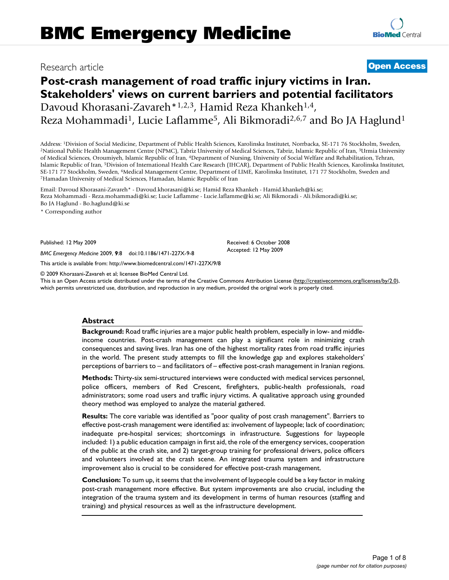# Research article **[Open Access](http://www.biomedcentral.com/info/about/charter/)**

# **Post-crash management of road traffic injury victims in Iran. Stakeholders' views on current barriers and potential facilitators** Davoud Khorasani-Zavareh\*1,2,3, Hamid Reza Khankeh<sup>1,4</sup>, Reza Mohammadi<sup>1</sup>, Lucie Laflamme<sup>5</sup>, Ali Bikmoradi<sup>2,6,7</sup> and Bo JA Haglund<sup>1</sup>

Address: <sup>1</sup>Division of Social Medicine, Department of Public Health Sciences, Karolinska Institutet, Norrbacka, SE-171 76 Stockholm, Sweden,<br><sup>2</sup>National Public Health Management Centre (NPMC), Tabriz University of Medical of Medical Sciences, Oroumiyeh, Islamic Republic of Iran, 4Department of Nursing, University of Social Welfare and Rehabilitation, Tehran, Islamic Republic of Iran, 5Division of International Health Care Research (IHCAR), Department of Public Health Sciences, Karolinska Institutet, SE-171 77 Stockholm, Sweden, 6Medical Management Centre, Department of LIME, Karolinska Institutet, 171 77 Stockholm, Sweden and 7Hamadan University of Medical Sciences, Hamadan, Islamic Republic of Iran

Email: Davoud Khorasani-Zavareh\* - Davoud.khorasani@ki.se; Hamid Reza Khankeh - Hamid.khankeh@ki.se; Reza Mohammadi - Reza.mohammadi@ki.se; Lucie Laflamme - Lucie.laflamme@ki.se; Ali Bikmoradi - Ali.bikmoradi@ki.se; Bo JA Haglund - Bo.haglund@ki.se

\* Corresponding author

Published: 12 May 2009

*BMC Emergency Medicine* 2009, **9**:8 doi:10.1186/1471-227X-9-8

[This article is available from: http://www.biomedcentral.com/1471-227X/9/8](http://www.biomedcentral.com/1471-227X/9/8)

© 2009 Khorasani-Zavareh et al; licensee BioMed Central Ltd.

This is an Open Access article distributed under the terms of the Creative Commons Attribution License [\(http://creativecommons.org/licenses/by/2.0\)](http://creativecommons.org/licenses/by/2.0), which permits unrestricted use, distribution, and reproduction in any medium, provided the original work is properly cited.

Received: 6 October 2008 Accepted: 12 May 2009

#### **Abstract**

**Background:** Road traffic injuries are a major public health problem, especially in low- and middleincome countries. Post-crash management can play a significant role in minimizing crash consequences and saving lives. Iran has one of the highest mortality rates from road traffic injuries in the world. The present study attempts to fill the knowledge gap and explores stakeholders' perceptions of barriers to – and facilitators of – effective post-crash management in Iranian regions.

**Methods:** Thirty-six semi-structured interviews were conducted with medical services personnel, police officers, members of Red Crescent, firefighters, public-health professionals, road administrators; some road users and traffic injury victims. A qualitative approach using grounded theory method was employed to analyze the material gathered.

**Results:** The core variable was identified as "poor quality of post crash management". Barriers to effective post-crash management were identified as: involvement of laypeople; lack of coordination; inadequate pre-hospital services; shortcomings in infrastructure. Suggestions for laypeople included: 1) a public education campaign in first aid, the role of the emergency services, cooperation of the public at the crash site, and 2) target-group training for professional drivers, police officers and volunteers involved at the crash scene. An integrated trauma system and infrastructure improvement also is crucial to be considered for effective post-crash management.

**Conclusion:** To sum up, it seems that the involvement of laypeople could be a key factor in making post-crash management more effective. But system improvements are also crucial, including the integration of the trauma system and its development in terms of human resources (staffing and training) and physical resources as well as the infrastructure development.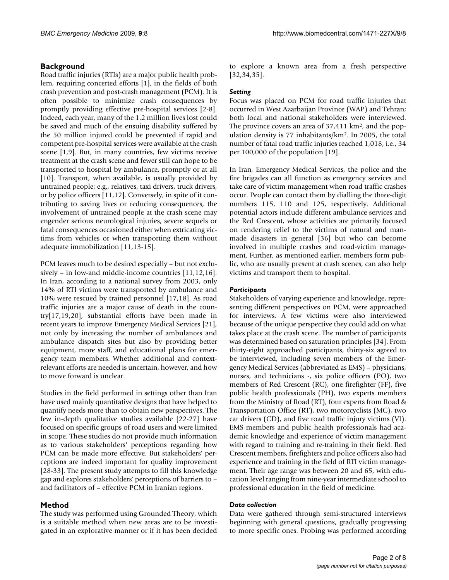#### **Background**

Road traffic injuries (RTIs) are a major public health problem, requiring concerted efforts [1], in the fields of both crash prevention and post-crash management (PCM). It is often possible to minimize crash consequences by promptly providing effective pre-hospital services [2-8]. Indeed, each year, many of the 1.2 million lives lost could be saved and much of the ensuing disability suffered by the 50 million injured could be prevented if rapid and competent pre-hospital services were available at the crash scene [1,9]. But, in many countries, few victims receive treatment at the crash scene and fewer still can hope to be transported to hospital by ambulance, promptly or at all [10]. Transport, when available, is usually provided by untrained people; e.g., relatives, taxi drivers, truck drivers, or by police officers [11,12]. Conversely, in spite of it contributing to saving lives or reducing consequences, the involvement of untrained people at the crash scene may engender serious neurological injuries, severe sequels or fatal consequences occasioned either when extricating victims from vehicles or when transporting them without adequate immobilization [11,13-15].

PCM leaves much to be desired especially – but not exclusively – in low-and middle-income countries [11,12,16]. In Iran, according to a national survey from 2003, only 14% of RTI victims were transported by ambulance and 10% were rescued by trained personnel [17,18]. As road traffic injuries are a major cause of death in the country[17,19,20], substantial efforts have been made in recent years to improve Emergency Medical Services [21], not only by increasing the number of ambulances and ambulance dispatch sites but also by providing better equipment, more staff, and educational plans for emergency team members. Whether additional and contextrelevant efforts are needed is uncertain, however, and how to move forward is unclear.

Studies in the field performed in settings other than Iran have used mainly quantitative designs that have helped to quantify needs more than to obtain new perspectives. The few in-depth qualitative studies available [22-27] have focused on specific groups of road users and were limited in scope. These studies do not provide much information as to various stakeholders' perceptions regarding how PCM can be made more effective. But stakeholders' perceptions are indeed important for quality improvement [28-33]. The present study attempts to fill this knowledge gap and explores stakeholders' perceptions of barriers to – and facilitators of – effective PCM in Iranian regions.

#### **Method**

The study was performed using Grounded Theory, which is a suitable method when new areas are to be investigated in an explorative manner or if it has been decided

to explore a known area from a fresh perspective [32,34,35].

#### *Setting*

Focus was placed on PCM for road traffic injuries that occurred in West Azarbaijan Province (WAP) and Tehran; both local and national stakeholders were interviewed. The province covers an area of 37,411 km<sup>2</sup>, and the population density is 77 inhabitants/km2. In 2005, the total number of fatal road traffic injuries reached 1,018, i.e., 34 per 100,000 of the population [19].

In Iran, Emergency Medical Services, the police and the fire brigades can all function as emergency services and take care of victim management when road traffic crashes occur. People can contact them by dialling the three-digit numbers 115, 110 and 125, respectively. Additional potential actors include different ambulance services and the Red Crescent, whose activities are primarily focused on rendering relief to the victims of natural and manmade disasters in general [36] but who can become involved in multiple crashes and road-victim management. Further, as mentioned earlier, members form public, who are usually present at crash scenes, can also help victims and transport them to hospital.

#### *Participants*

Stakeholders of varying experience and knowledge, representing different perspectives on PCM, were approached for interviews. A few victims were also interviewed because of the unique perspective they could add on what takes place at the crash scene. The number of participants was determined based on saturation principles [34]. From thirty-eight approached participants, thirty-six agreed to be interviewed, including seven members of the Emergency Medical Services (abbreviated as EMS) – physicians, nurses, and technicians -, six police officers (PO), two members of Red Crescent (RC), one firefighter (FF), five public health professionals (PH), two experts members from the Ministry of Road (RT), four experts from Road & Transportation Office (RT), two motorcyclists (MC), two car drivers (CD), and five road traffic injury victims (VI). EMS members and public health professionals had academic knowledge and experience of victim management with regard to training and re-training in their field. Red Crescent members, firefighters and police officers also had experience and training in the field of RTI victim management. Their age range was between 20 and 65, with education level ranging from nine-year intermediate school to professional education in the field of medicine.

#### *Data collection*

Data were gathered through semi-structured interviews beginning with general questions, gradually progressing to more specific ones. Probing was performed according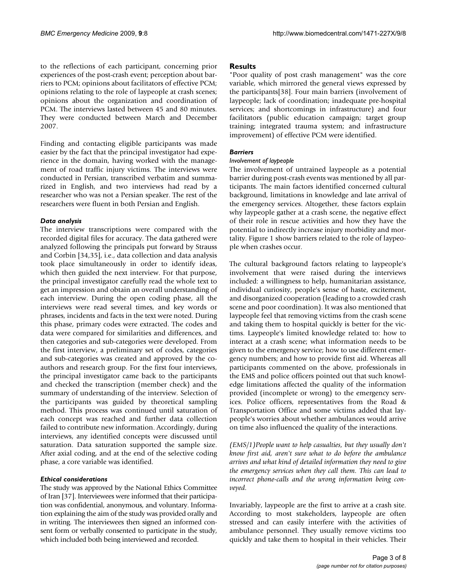to the reflections of each participant, concerning prior experiences of the post-crash event; perception about barriers to PCM; opinions about facilitators of effective PCM; opinions relating to the role of laypeople at crash scenes; opinions about the organization and coordination of PCM. The interviews lasted between 45 and 80 minutes. They were conducted between March and December 2007.

Finding and contacting eligible participants was made easier by the fact that the principal investigator had experience in the domain, having worked with the management of road traffic injury victims. The interviews were conducted in Persian, transcribed verbatim and summarized in English, and two interviews had read by a researcher who was not a Persian speaker. The rest of the researchers were fluent in both Persian and English.

#### *Data analysis*

The interview transcriptions were compared with the recorded digital files for accuracy. The data gathered were analyzed following the principals put forward by Strauss and Corbin [34,35], i.e., data collection and data analysis took place simultaneously in order to identify ideas, which then guided the next interview. For that purpose, the principal investigator carefully read the whole text to get an impression and obtain an overall understanding of each interview. During the open coding phase, all the interviews were read several times, and key words or phrases, incidents and facts in the text were noted. During this phase, primary codes were extracted. The codes and data were compared for similarities and differences, and then categories and sub-categories were developed. From the first interview, a preliminary set of codes, categories and sub-categories was created and approved by the coauthors and research group. For the first four interviews, the principal investigator came back to the participants and checked the transcription (member check) and the summary of understanding of the interview. Selection of the participants was guided by theoretical sampling method. This process was continued until saturation of each concept was reached and further data collection failed to contribute new information. Accordingly, during interviews, any identified concepts were discussed until saturation. Data saturation supported the sample size. After axial coding, and at the end of the selective coding phase, a core variable was identified.

# *Ethical considerations*

The study was approved by the National Ethics Committee of Iran [37]. Interviewees were informed that their participation was confidential, anonymous, and voluntary. Information explaining the aim of the study was provided orally and in writing. The interviewees then signed an informed consent form or verbally consented to participate in the study, which included both being interviewed and recorded.

# **Results**

"Poor quality of post crash management" was the core variable, which mirrored the general views expressed by the participants[38]. Four main barriers (involvement of laypeople; lack of coordination; inadequate pre-hospital services; and shortcomings in infrastructure) and four facilitators (public education campaign; target group training; integrated trauma system; and infrastructure improvement) of effective PCM were identified.

# *Barriers*

#### *Involvement of laypeople*

The involvement of untrained laypeople as a potential barrier during post-crash events was mentioned by all participants. The main factors identified concerned cultural background, limitations in knowledge and late arrival of the emergency services. Altogether, these factors explain why laypeople gather at a crash scene, the negative effect of their role in rescue activities and how they have the potential to indirectly increase injury morbidity and mortality. Figure 1 show barriers related to the role of laypeople when crashes occur.

The cultural background factors relating to laypeople's involvement that were raised during the interviews included: a willingness to help, humanitarian assistance, individual curiosity, people's sense of haste, excitement, and disorganized cooperation (leading to a crowded crash scene and poor coordination). It was also mentioned that laypeople feel that removing victims from the crash scene and taking them to hospital quickly is better for the victims. Laypeople's limited knowledge related to: how to interact at a crash scene; what information needs to be given to the emergency service; how to use different emergency numbers; and how to provide first aid. Whereas all participants commented on the above, professionals in the EMS and police officers pointed out that such knowledge limitations affected the quality of the information provided (incomplete or wrong) to the emergency services. Police officers, representatives from the Road & Transportation Office and some victims added that laypeople's worries about whether ambulances would arrive on time also influenced the quality of the interactions.

*(EMS/1)People want to help casualties, but they usually don't know first aid, aren't sure what to do before the ambulance arrives and what kind of detailed information they need to give the emergency services when they call them. This can lead to incorrect phone-calls and the wrong information being conveyed*.

Invariably, laypeople are the first to arrive at a crash site. According to most stakeholders, laypeople are often stressed and can easily interfere with the activities of ambulance personnel. They usually remove victims too quickly and take them to hospital in their vehicles. Their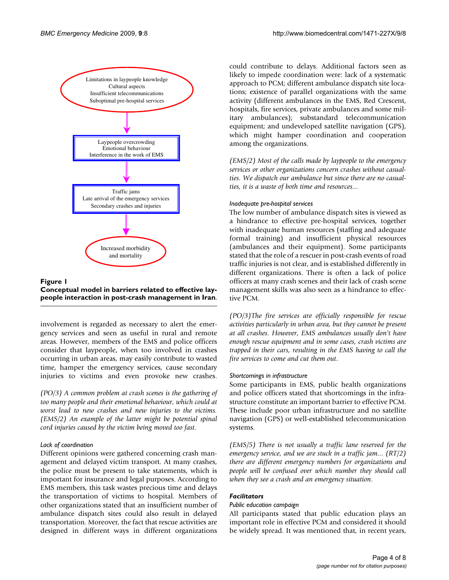

#### Figure 1 **Conceptual model in barriers related to effective laypeople interaction in post-crash management in Iran**.

involvement is regarded as necessary to alert the emergency services and seen as useful in rural and remote areas. However, members of the EMS and police officers consider that laypeople, when too involved in crashes occurring in urban areas, may easily contribute to wasted time, hamper the emergency services, cause secondary injuries to victims and even provoke new crashes.

*(PO/3) A common problem at crash scenes is the gathering of too many people and their emotional behaviour, which could at worst lead to new crashes and new injuries to the victims. (EMS/2) An example of the latter might be potential spinal cord injuries caused by the victim being moved too fast*.

#### *Lack of coordination*

Different opinions were gathered concerning crash management and delayed victim transport. At many crashes, the police must be present to take statements, which is important for insurance and legal purposes. According to EMS members, this task wastes precious time and delays the transportation of victims to hospital. Members of other organizations stated that an insufficient number of ambulance dispatch sites could also result in delayed transportation. Moreover, the fact that rescue activities are designed in different ways in different organizations could contribute to delays. Additional factors seen as likely to impede coordination were: lack of a systematic approach to PCM; different ambulance dispatch site locations; existence of parallel organizations with the same activity (different ambulances in the EMS, Red Crescent, hospitals, fire services, private ambulances and some military ambulances); substandard telecommunication equipment; and undeveloped satellite navigation (GPS), which might hamper coordination and cooperation among the organizations.

*(EMS/2) Most of the calls made by laypeople to the emergency services or other organizations concern crashes without casualties. We dispatch our ambulance but since there are no casualties, it is a waste of both time and resources*...

#### *Inadequate pre-hospital services*

The low number of ambulance dispatch sites is viewed as a hindrance to effective pre-hospital services, together with inadequate human resources (staffing and adequate formal training) and insufficient physical resources (ambulances and their equipment). Some participants stated that the role of a rescuer in post-crash events of road traffic injuries is not clear, and is established differently in different organizations. There is often a lack of police officers at many crash scenes and their lack of crash scene management skills was also seen as a hindrance to effective PCM.

*(PO/3)The fire services are officially responsible for rescue activities particularly in urban area, but they cannot be present at all crashes. However, EMS ambulances usually don't have enough rescue equipment and in some cases, crash victims are trapped in their cars, resulting in the EMS having to call the fire services to come and cut them out*.

#### *Shortcomings in infrastructure*

Some participants in EMS, public health organizations and police officers stated that shortcomings in the infrastructure constitute an important barrier to effective PCM. These include poor urban infrastructure and no satellite navigation (GPS) or well-established telecommunication systems.

*(EMS/5) There is not usually a traffic lane reserved for the emergency service, and we are stuck in a traffic jam... (RT/2) there are different emergency numbers for organizations and people will be confused over which number they should call when they see a crash and an emergency situation*.

#### *Facilitators*

#### *Public education campaign*

All participants stated that public education plays an important role in effective PCM and considered it should be widely spread. It was mentioned that, in recent years,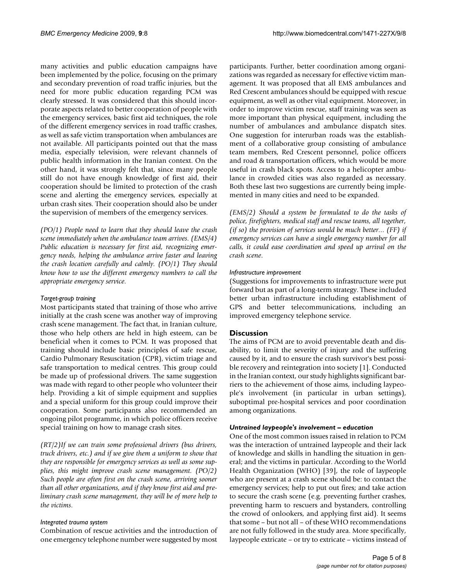many activities and public education campaigns have been implemented by the police, focusing on the primary and secondary prevention of road traffic injuries, but the need for more public education regarding PCM was clearly stressed. It was considered that this should incorporate aspects related to better cooperation of people with the emergency services, basic first aid techniques, the role of the different emergency services in road traffic crashes, as well as safe victim transportation when ambulances are not available. All participants pointed out that the mass media, especially television, were relevant channels of public health information in the Iranian context. On the other hand, it was strongly felt that, since many people still do not have enough knowledge of first aid, their cooperation should be limited to protection of the crash scene and alerting the emergency services, especially at urban crash sites. Their cooperation should also be under the supervision of members of the emergency services.

*(PO/1) People need to learn that they should leave the crash scene immediately when the ambulance team arrives. (EMS/4) Public education is necessary for first aid, recognizing emergency needs, helping the ambulance arrive faster and leaving the crash location carefully and calmly. (PO/1) They should know how to use the different emergency numbers to call the appropriate emergency service*.

# *Target-group training*

Most participants stated that training of those who arrive initially at the crash scene was another way of improving crash scene management. The fact that, in Iranian culture, those who help others are held in high esteem, can be beneficial when it comes to PCM. It was proposed that training should include basic principles of safe rescue, Cardio Pulmonary Resuscitation (CPR), victim triage and safe transportation to medical centres. This group could be made up of professional drivers. The same suggestion was made with regard to other people who volunteer their help. Providing a kit of simple equipment and supplies and a special uniform for this group could improve their cooperation. Some participants also recommended an ongoing pilot programme, in which police officers receive special training on how to manage crash sites.

*(RT/2)If we can train some professional drivers (bus drivers, truck drivers, etc.) and if we give them a uniform to show that they are responsible for emergency services as well as some supplies, this might improve crash scene management. (PO/2) Such people are often first on the crash scene, arriving sooner than all other organizations, and if they know first aid and preliminary crash scene management, they will be of more help to the victims*.

# *Integrated trauma system*

Combination of rescue activities and the introduction of one emergency telephone number were suggested by most participants. Further, better coordination among organizations was regarded as necessary for effective victim management. It was proposed that all EMS ambulances and Red Crescent ambulances should be equipped with rescue equipment, as well as other vital equipment. Moreover, in order to improve victim rescue, staff training was seen as more important than physical equipment, including the number of ambulances and ambulance dispatch sites. One suggestion for interurban roads was the establishment of a collaborative group consisting of ambulance team members, Red Crescent personnel, police officers and road & transportation officers, which would be more useful in crash black spots. Access to a helicopter ambulance in crowded cities was also regarded as necessary. Both these last two suggestions are currently being implemented in many cities and need to be expanded.

*(EMS/2) Should a system be formulated to do the tasks of police, firefighters, medical staff and rescue teams, all together, (if so) the provision of services would be much better... (FF) if emergency services can have a single emergency number for all calls, it could ease coordination and speed up arrival on the crash scene*.

#### *Infrastructure improvement*

(Suggestions for improvements to infrastructure were put forward but as part of a long-term strategy. These included better urban infrastructure including establishment of GPS and better telecommunications, including an improved emergency telephone service.

# **Discussion**

The aims of PCM are to avoid preventable death and disability, to limit the severity of injury and the suffering caused by it, and to ensure the crash survivor's best possible recovery and reintegration into society [1]. Conducted in the Iranian context, our study highlights significant barriers to the achievement of those aims, including laypeople's involvement (in particular in urban settings), suboptimal pre-hospital services and poor coordination among organizations.

#### *Untrained laypeople's involvement – education*

One of the most common issues raised in relation to PCM was the interaction of untrained laypeople and their lack of knowledge and skills in handling the situation in general; and the victims in particular. According to the World Health Organization (WHO) [39], the role of laypeople who are present at a crash scene should be: to contact the emergency services; help to put out fires; and take action to secure the crash scene (e.g. preventing further crashes, preventing harm to rescuers and bystanders, controlling the crowd of onlookers, and applying first aid). It seems that some – but not all – of these WHO recommendations are not fully followed in the study area. More specifically, laypeople extricate – or try to extricate – victims instead of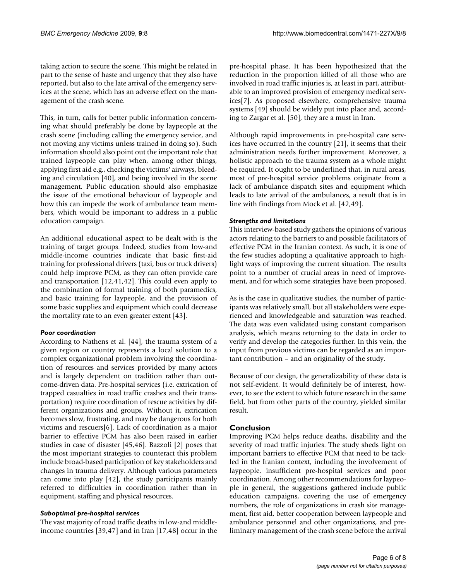taking action to secure the scene. This might be related in part to the sense of haste and urgency that they also have reported, but also to the late arrival of the emergency services at the scene, which has an adverse effect on the management of the crash scene.

This, in turn, calls for better public information concerning what should preferably be done by laypeople at the crash scene (including calling the emergency service, and not moving any victims unless trained in doing so). Such information should also point out the important role that trained laypeople can play when, among other things, applying first aid e.g., checking the victims' airways, bleeding and circulation [40], and being involved in the scene management. Public education should also emphasize the issue of the emotional behaviour of laypeople and how this can impede the work of ambulance team members, which would be important to address in a public education campaign.

An additional educational aspect to be dealt with is the training of target groups. Indeed, studies from low-and middle-income countries indicate that basic first-aid training for professional drivers (taxi, bus or truck drivers) could help improve PCM, as they can often provide care and transportation [12,41,42]. This could even apply to the combination of formal training of both paramedics, and basic training for laypeople, and the provision of some basic supplies and equipment which could decrease the mortality rate to an even greater extent [43].

# *Poor coordination*

According to Nathens et al. [44], the trauma system of a given region or country represents a local solution to a complex organizational problem involving the coordination of resources and services provided by many actors and is largely dependent on tradition rather than outcome-driven data. Pre-hospital services (i.e. extrication of trapped casualties in road traffic crashes and their transportation) require coordination of rescue activities by different organizations and groups. Without it, extrication becomes slow, frustrating, and may be dangerous for both victims and rescuers[6]. Lack of coordination as a major barrier to effective PCM has also been raised in earlier studies in case of disaster [45,46]. Bazzoli [2] poses that the most important strategies to counteract this problem include broad-based participation of key stakeholders and changes in trauma delivery. Although various parameters can come into play [42], the study participants mainly referred to difficulties in coordination rather than in equipment, staffing and physical resources.

# *Suboptimal pre-hospital services*

The vast majority of road traffic deaths in low-and middleincome countries [39,47] and in Iran [17,48] occur in the pre-hospital phase. It has been hypothesized that the reduction in the proportion killed of all those who are involved in road traffic injuries is, at least in part, attributable to an improved provision of emergency medical services[7]. As proposed elsewhere, comprehensive trauma systems [49] should be widely put into place and, according to Zargar et al. [50], they are a must in Iran.

Although rapid improvements in pre-hospital care services have occurred in the country [21], it seems that their administration needs further improvement. Moreover, a holistic approach to the trauma system as a whole might be required. It ought to be underlined that, in rural areas, most of pre-hospital service problems originate from a lack of ambulance dispatch sites and equipment which leads to late arrival of the ambulances, a result that is in line with findings from Mock et al. [42,49].

# *Strengths and limitations*

This interview-based study gathers the opinions of various actors relating to the barriers to and possible facilitators of effective PCM in the Iranian context. As such, it is one of the few studies adopting a qualitative approach to highlight ways of improving the current situation. The results point to a number of crucial areas in need of improvement, and for which some strategies have been proposed.

As is the case in qualitative studies, the number of participants was relatively small, but all stakeholders were experienced and knowledgeable and saturation was reached. The data was even validated using constant comparison analysis, which means returning to the data in order to verify and develop the categories further. In this vein, the input from previous victims can be regarded as an important contribution – and an originality of the study.

Because of our design, the generalizability of these data is not self-evident. It would definitely be of interest, however, to see the extent to which future research in the same field, but from other parts of the country, yielded similar result.

# **Conclusion**

Improving PCM helps reduce deaths, disability and the severity of road traffic injuries. The study sheds light on important barriers to effective PCM that need to be tackled in the Iranian context, including the involvement of laypeople, insufficient pre-hospital services and poor coordination. Among other recommendations for laypeople in general, the suggestions gathered include public education campaigns, covering the use of emergency numbers, the role of organizations in crash site management, first aid, better cooperation between laypeople and ambulance personnel and other organizations, and preliminary management of the crash scene before the arrival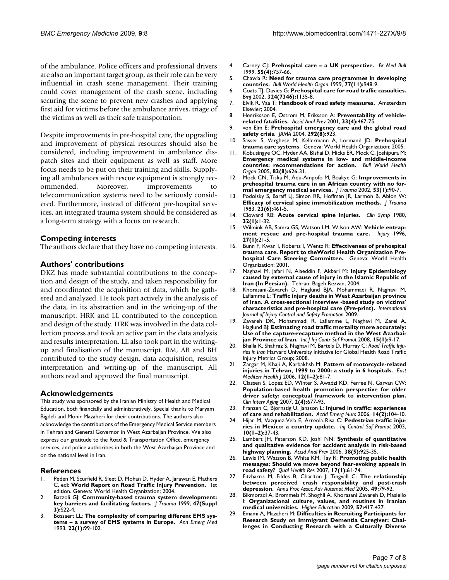of the ambulance. Police officers and professional drivers are also an important target group, as their role can be very influential in crash scene management. Their training could cover management of the crash scene, including securing the scene to prevent new crashes and applying first aid for victims before the ambulance arrives, triage of the victims as well as their safe transportation.

Despite improvements in pre-hospital care, the upgrading and improvement of physical resources should also be considered, including improvement in ambulance dispatch sites and their equipment as well as staff. More focus needs to be put on their training and skills. Supplying all ambulances with rescue equipment is strongly recommended. Moreover, improvements to telecommunication systems need to be seriously considered. Furthermore, instead of different pre-hospital services, an integrated trauma system should be considered as a long-term strategy with a focus on research.

#### **Competing interests**

The authors declare that they have no competing interests.

#### **Authors' contributions**

DKZ has made substantial contributions to the conception and design of the study, and taken responsibility for and coordinated the acquisition of data, which he gathered and analyzed. He took part actively in the analysis of the data, in its abstraction and in the writing-up of the manuscript. HRK and LL contributed to the conception and design of the study. HRK was involved in the data collection process and took an active part in the data analysis and results interpretation. LL also took part in the writingup and finalisation of the manuscript. RM, AB and BH contributed to the study design, data acquisition, results interpretation and writing-up of the manuscript. All authors read and approved the final manuscript.

#### **Acknowledgements**

This study was sponsored by the Iranian Ministry of Health and Medical Education, both financially and administratively. Special thanks to Maryam Bigdeli and Monir Mazaheri for their contributions. The authors also acknowledge the contributions of the Emergency Medical Service members in Tehran and General Governor in West Azarbaijan Province. We also express our gratitude to the Road & Transportation Office, emergency services, and police authorities in both the West Azarbaijan Province and on the national level in Iran.

#### **References**

- Peden M, Scurfield R, Sleet D, Mohan D, Hyder A, Jarawan E, Mathers C, edi: **World Report on Road Traffic Injury Prevention.** 1st edition. Geneva: World Health Organization; 2004.
- Bazzoli GJ: **Community-based trauma system development: key barriers and facilitating factors.** *J Trauma* 1999, **47(Suppl 3):**S22-4.
- Bossaert LL: The complexity of comparing different **EMS** sys**[tems – a survey of EMS systems in Europe.](http://www.ncbi.nlm.nih.gov/entrez/query.fcgi?cmd=Retrieve&db=PubMed&dopt=Abstract&list_uids=8424624)** *Ann Emerg Med* 1993, **22(1):**99-102.
- 4. Carney CJ: **[Prehospital care a UK perspective.](http://www.ncbi.nlm.nih.gov/entrez/query.fcgi?cmd=Retrieve&db=PubMed&dopt=Abstract&list_uids=10746329)** *Br Med Bull* 1999, **55(4):**757-66.
- 5. Chawla R: **[Need for trauma care programmes in developing](http://www.ncbi.nlm.nih.gov/entrez/query.fcgi?cmd=Retrieve&db=PubMed&dopt=Abstract&list_uids=10612894) [countries.](http://www.ncbi.nlm.nih.gov/entrez/query.fcgi?cmd=Retrieve&db=PubMed&dopt=Abstract&list_uids=10612894)** *Bull World Health Organ* 1999, **77(11):**948-9.
- 6. Coats TJ, Davies G: **[Prehospital care for road traffic casualties.](http://www.ncbi.nlm.nih.gov/entrez/query.fcgi?cmd=Retrieve&db=PubMed&dopt=Abstract&list_uids=12003887)** *Bmj* 2002, **324(7346):**1135-8.
- 7. Elvik R, Vaa T: **Handbook of road safety measures.** Amsterdam Elsevier; 2004.
- 8. Henriksson E, Ostrom M, Eriksson A: **[Preventability of vehicle](http://www.ncbi.nlm.nih.gov/entrez/query.fcgi?cmd=Retrieve&db=PubMed&dopt=Abstract&list_uids=11426677)[related fatalities.](http://www.ncbi.nlm.nih.gov/entrez/query.fcgi?cmd=Retrieve&db=PubMed&dopt=Abstract&list_uids=11426677)** *Accid Anal Prev* 2001, **33(4):**467-75.
- 9. von Elm E: **[Prehospital emergency care and the global road](http://www.ncbi.nlm.nih.gov/entrez/query.fcgi?cmd=Retrieve&db=PubMed&dopt=Abstract&list_uids=15328322) [safety crisis.](http://www.ncbi.nlm.nih.gov/entrez/query.fcgi?cmd=Retrieve&db=PubMed&dopt=Abstract&list_uids=15328322)** *JAMA* 2004, **292(8):**923.
- 10. Sasser S, Varghese M, Kellermann A, Lormand JD: **Prehospital trauma care systems.** Geneva: World Health Organization; 2005.
- 11. Kobusingye OC, Hyder AA, Bishai D, Hicks ER, Mock C, Joshipura M: **[Emergency medical systems in low- and middle-income](http://www.ncbi.nlm.nih.gov/entrez/query.fcgi?cmd=Retrieve&db=PubMed&dopt=Abstract&list_uids=16184282) [countries: recommendations for action.](http://www.ncbi.nlm.nih.gov/entrez/query.fcgi?cmd=Retrieve&db=PubMed&dopt=Abstract&list_uids=16184282)** *Bull World Health Organ* 2005, **83(8):**626-31.
- 12. Mock CN, Tiska M, Adu-Ampofo M, Boakye G: **[Improvements in](http://www.ncbi.nlm.nih.gov/entrez/query.fcgi?cmd=Retrieve&db=PubMed&dopt=Abstract&list_uids=12131396) [prehospital trauma care in an African country with no for](http://www.ncbi.nlm.nih.gov/entrez/query.fcgi?cmd=Retrieve&db=PubMed&dopt=Abstract&list_uids=12131396)[mal emergency medical services.](http://www.ncbi.nlm.nih.gov/entrez/query.fcgi?cmd=Retrieve&db=PubMed&dopt=Abstract&list_uids=12131396)** *J Trauma* 2002, **53(1):**90-7.
- 13. Podolsky S, Baraff LJ, Simon RR, Hoffman JR, Larmon B, Ablon W: **[Efficacy of cervical spine immobilization methods.](http://www.ncbi.nlm.nih.gov/entrez/query.fcgi?cmd=Retrieve&db=PubMed&dopt=Abstract&list_uids=6864837)** *J Trauma* 1983, **23(6):**461-5.
- 14. Cloward RB: **[Acute cervical spine injuries.](http://www.ncbi.nlm.nih.gov/entrez/query.fcgi?cmd=Retrieve&db=PubMed&dopt=Abstract&list_uids=7018815)** *Clin Symp* 1980, **32(1):**1-32.
- 15. Wilmink AB, Samra GS, Watson LM, Wilson AW: **[Vehicle entrap](http://www.ncbi.nlm.nih.gov/entrez/query.fcgi?cmd=Retrieve&db=PubMed&dopt=Abstract&list_uids=8746311)[ment rescue and pre-hospital trauma care.](http://www.ncbi.nlm.nih.gov/entrez/query.fcgi?cmd=Retrieve&db=PubMed&dopt=Abstract&list_uids=8746311)** *Injury* 1996, **27(1):**21-5.
- 16. Bunn F, Kwan I, Roberts I, Wentz R: **Effectiveness of prehospital trauma care. Report to theWorld Health Organization Prehospital Care Steering Committee.** Geneva: World Health Organization; 2001.
- 17. Naghavi M, Jafari N, Alaeddin F, Akbari M: **Injury Epidemiology caused by external cause of injury in the Islamic Republic of Iran (In Persian).** Tehran: Bageh Rezvan; 2004.
- 18. Khorasani-Zavareh D, Haglund BJA, Mohammadi R, Naghavi M, Laflamme L: **Traffic injury deaths in West Azarbaijan province of Iran. A cross-sectional interview -based study on victims' characteristics and pre-hospital care (Pre-print).** *International Journal of Injury Control and Safety Promotion* 2009.
- 19. Zavareh DK, Mohammadi R, Laflamme L, Naghavi M, Zarei A, Haglund BJ: **[Estimating road traffic mortality more accurately:](http://www.ncbi.nlm.nih.gov/entrez/query.fcgi?cmd=Retrieve&db=PubMed&dopt=Abstract&list_uids=18344091) [Use of the capture-recapture method in the West Azarbai](http://www.ncbi.nlm.nih.gov/entrez/query.fcgi?cmd=Retrieve&db=PubMed&dopt=Abstract&list_uids=18344091)[jan Province of Iran.](http://www.ncbi.nlm.nih.gov/entrez/query.fcgi?cmd=Retrieve&db=PubMed&dopt=Abstract&list_uids=18344091)** *Int J Inj Contr Saf Promot* 2008, **15(1):**9-17.
- 20. Bhalla K, Shahraz S, Naghavi M, Bartels D, Murray C: *Road Traffic Injuries in Iran* Harvard University Initiative for Global Health Road Traffic Injury Metrics Group; 2008.
- 21. Zargar M, Khaji A, Karbakhsh M: **[Pattern of motorcycle-related](http://www.ncbi.nlm.nih.gov/entrez/query.fcgi?cmd=Retrieve&db=PubMed&dopt=Abstract&list_uids=17037224) [injuries in Tehran, 1999 to 2000: a study in 6 hospitals.](http://www.ncbi.nlm.nih.gov/entrez/query.fcgi?cmd=Retrieve&db=PubMed&dopt=Abstract&list_uids=17037224)** *East Mediterr Health J* 2006, **12(1–2):**81-7.
- 22. Classen S, Lopez ED, Winter S, Awadzi KD, Ferree N, Garvan CW: **[Population-based health promotion perspective for older](http://www.ncbi.nlm.nih.gov/entrez/query.fcgi?cmd=Retrieve&db=PubMed&dopt=Abstract&list_uids=18225470) driver safety: conceptual framework to intervention plan.** *Clin Interv Aging* 2007, **2(4):**677-93.
- 23. Franzen C, Bjornstig U, Jansson L: **[Injured in traffic: experiences](http://www.ncbi.nlm.nih.gov/entrez/query.fcgi?cmd=Retrieve&db=PubMed&dopt=Abstract&list_uids=16510284) [of care and rehabilitation.](http://www.ncbi.nlm.nih.gov/entrez/query.fcgi?cmd=Retrieve&db=PubMed&dopt=Abstract&list_uids=16510284)** *Accid Emerg Nurs* 2006, **14(2):**104-10.
- 24. Hijar M, Vazquez-Vela E, Arreola-Risa C: **[Pedestrian traffic inju](http://www.ncbi.nlm.nih.gov/entrez/query.fcgi?cmd=Retrieve&db=PubMed&dopt=Abstract&list_uids=12772484)[ries in Mexico: a country update.](http://www.ncbi.nlm.nih.gov/entrez/query.fcgi?cmd=Retrieve&db=PubMed&dopt=Abstract&list_uids=12772484)** *Inj Control Saf Promot* 2003, **10(1–2):**37-43.
- 25. Lambert JH, Peterson KD, Joshi NN: **[Synthesis of quantitative](http://www.ncbi.nlm.nih.gov/entrez/query.fcgi?cmd=Retrieve&db=PubMed&dopt=Abstract&list_uids=16730627) [and qualitative evidence for accident analysis in risk-based](http://www.ncbi.nlm.nih.gov/entrez/query.fcgi?cmd=Retrieve&db=PubMed&dopt=Abstract&list_uids=16730627) [highway planning.](http://www.ncbi.nlm.nih.gov/entrez/query.fcgi?cmd=Retrieve&db=PubMed&dopt=Abstract&list_uids=16730627)** *Accid Anal Prev* 2006, **38(5):**925-35.
- 26. Lewis IM, Watson B, White KM, Tay R: **[Promoting public health](http://www.ncbi.nlm.nih.gov/entrez/query.fcgi?cmd=Retrieve&db=PubMed&dopt=Abstract&list_uids=17170244) [messages: Should we move beyond fear-evoking appeals in](http://www.ncbi.nlm.nih.gov/entrez/query.fcgi?cmd=Retrieve&db=PubMed&dopt=Abstract&list_uids=17170244) [road safety?](http://www.ncbi.nlm.nih.gov/entrez/query.fcgi?cmd=Retrieve&db=PubMed&dopt=Abstract&list_uids=17170244)** *Qual Health Res* 2007, **17(1):**61-74.
- 27. Fitzharris M, Fildes B, Charlton J, Tingvall C: **[The relationship](http://www.ncbi.nlm.nih.gov/entrez/query.fcgi?cmd=Retrieve&db=PubMed&dopt=Abstract&list_uids=16179141) [between perceived crash responsibility and post-crash](http://www.ncbi.nlm.nih.gov/entrez/query.fcgi?cmd=Retrieve&db=PubMed&dopt=Abstract&list_uids=16179141) [depression.](http://www.ncbi.nlm.nih.gov/entrez/query.fcgi?cmd=Retrieve&db=PubMed&dopt=Abstract&list_uids=16179141)** *Annu Proc Assoc Adv Automot Med* 2005, **49:**79-92.
- 28. Bikmoradi A, Brommels M, Shoghli A, Khorasani Zavareh D, Masiello I: **Organizational culture, values, and routines in Iranian medical universities.** *Higher Education* 2009, **57:**417-427.
- 29. Emami A, Mazaheri M: **Difficulties in Recruiting Participants for Research Study on Immigrant Dementia Caregiver: Challenges in Conducting Research with a Culturally Diverse**